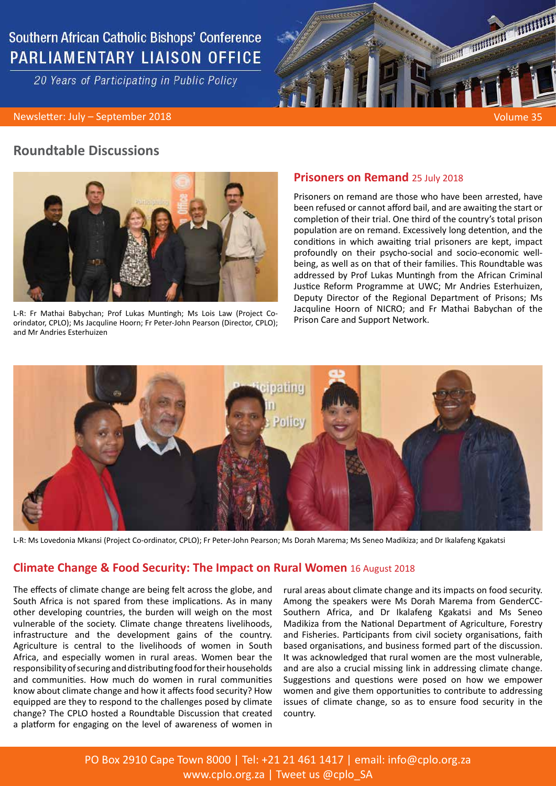# **Southern African Catholic Bishops' Conference PARLIAMENTARY LIAISON OFFICE**

20 Years of Participating in Public Policy



## **Roundtable Discussions**



L-R: Fr Mathai Babychan; Prof Lukas Muntingh; Ms Lois Law (Project Coorindator, CPLO); Ms Jacquline Hoorn; Fr Peter-John Pearson (Director, CPLO); and Mr Andries Esterhuizen

### **Prisoners on Remand** 25 July 2018

Prisoners on remand are those who have been arrested, have been refused or cannot afford bail, and are awaiting the start or completion of their trial. One third of the country's total prison population are on remand. Excessively long detention, and the conditions in which awaiting trial prisoners are kept, impact profoundly on their psycho-social and socio-economic wellbeing, as well as on that of their families. This Roundtable was addressed by Prof Lukas Muntingh from the African Criminal Justice Reform Programme at UWC; Mr Andries Esterhuizen, Deputy Director of the Regional Department of Prisons; Ms Jacquline Hoorn of NICRO; and Fr Mathai Babychan of the Prison Care and Support Network.



L-R: Ms Lovedonia Mkansi (Project Co-ordinator, CPLO); Fr Peter-John Pearson; Ms Dorah Marema; Ms Seneo Madikiza; and Dr Ikalafeng Kgakatsi

## **Climate Change & Food Security: The Impact on Rural Women** 16 August 2018

The effects of climate change are being felt across the globe, and South Africa is not spared from these implications. As in many other developing countries, the burden will weigh on the most vulnerable of the society. Climate change threatens livelihoods, infrastructure and the development gains of the country. Agriculture is central to the livelihoods of women in South Africa, and especially women in rural areas. Women bear the responsibility of securing and distributing food for their households and communities. How much do women in rural communities know about climate change and how it affects food security? How equipped are they to respond to the challenges posed by climate change? The CPLO hosted a Roundtable Discussion that created a platform for engaging on the level of awareness of women in

rural areas about climate change and its impacts on food security. Among the speakers were Ms Dorah Marema from GenderCC-Southern Africa, and Dr Ikalafeng Kgakatsi and Ms Seneo Madikiza from the National Department of Agriculture, Forestry and Fisheries. Participants from civil society organisations, faith based organisations, and business formed part of the discussion. It was acknowledged that rural women are the most vulnerable, and are also a crucial missing link in addressing climate change. Suggestions and questions were posed on how we empower women and give them opportunities to contribute to addressing issues of climate change, so as to ensure food security in the country.

PO Box 2910 Cape Town 8000 | Tel: +21 21 461 1417 | email: info@cplo.org.za www.cplo.org.za | Tweet us @cplo\_SA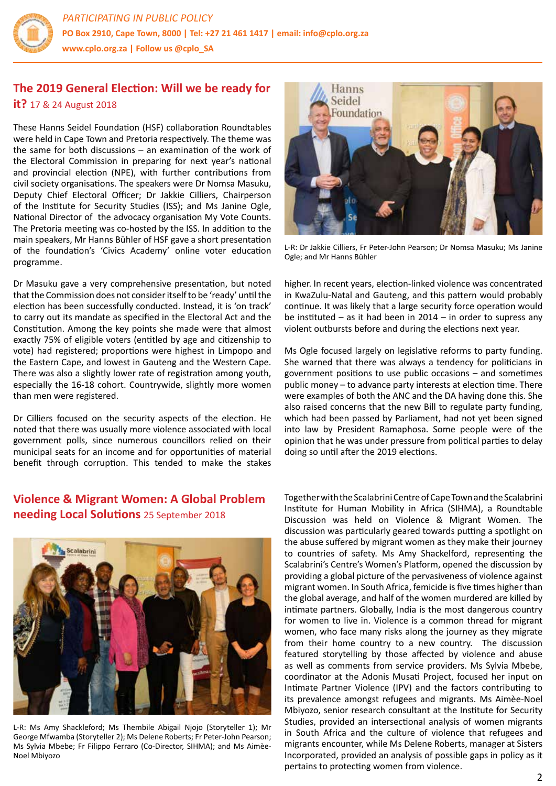

# **The 2019 General Election: Will we be ready for it?** 17 & 24 August 2018

These Hanns Seidel Foundation (HSF) collaboration Roundtables were held in Cape Town and Pretoria respectively. The theme was the same for both discussions – an examination of the work of the Electoral Commission in preparing for next year's national and provincial election (NPE), with further contributions from civil society organisations. The speakers were Dr Nomsa Masuku, Deputy Chief Electoral Officer; Dr Jakkie Cilliers, Chairperson of the Institute for Security Studies (ISS); and Ms Janine Ogle, National Director of the advocacy organisation My Vote Counts. The Pretoria meeting was co-hosted by the ISS. In addition to the main speakers, Mr Hanns Bühler of HSF gave a short presentation of the foundation's 'Civics Academy' online voter education programme.

Dr Masuku gave a very comprehensive presentation, but noted that the Commission does not consider itself to be 'ready' until the election has been successfully conducted. Instead, it is 'on track' to carry out its mandate as specified in the Electoral Act and the Constitution. Among the key points she made were that almost exactly 75% of eligible voters (entitled by age and citizenship to vote) had registered; proportions were highest in Limpopo and the Eastern Cape, and lowest in Gauteng and the Western Cape. There was also a slightly lower rate of registration among youth, especially the 16-18 cohort. Countrywide, slightly more women than men were registered.

Dr Cilliers focused on the security aspects of the election. He noted that there was usually more violence associated with local government polls, since numerous councillors relied on their municipal seats for an income and for opportunities of material benefit through corruption. This tended to make the stakes

# **Violence & Migrant Women: A Global Problem needing Local Solutions** 25 September 2018



L-R: Ms Amy Shackleford; Ms Thembile Abigail Njojo (Storyteller 1); Mr George Mfwamba (Storyteller 2); Ms Delene Roberts; Fr Peter-John Pearson; Ms Sylvia Mbebe; Fr Filippo Ferraro (Co-Director, SIHMA); and Ms Aimèe-Noel Mbiyozo



L-R: Dr Jakkie Cilliers, Fr Peter-John Pearson; Dr Nomsa Masuku; Ms Janine Ogle; and Mr Hanns Bühler

higher. In recent years, election-linked violence was concentrated in KwaZulu-Natal and Gauteng, and this pattern would probably continue. It was likely that a large security force operation would be instituted  $-$  as it had been in 2014  $-$  in order to supress any violent outbursts before and during the elections next year.

Ms Ogle focused largely on legislative reforms to party funding. She warned that there was always a tendency for politicians in government positions to use public occasions – and sometimes public money – to advance party interests at election time. There were examples of both the ANC and the DA having done this. She also raised concerns that the new Bill to regulate party funding, which had been passed by Parliament, had not yet been signed into law by President Ramaphosa. Some people were of the opinion that he was under pressure from political parties to delay doing so until after the 2019 elections.

Together with the Scalabrini Centre of Cape Town and the Scalabrini Institute for Human Mobility in Africa (SIHMA), a Roundtable Discussion was held on Violence & Migrant Women. The discussion was particularly geared towards putting a spotlight on the abuse suffered by migrant women as they make their journey to countries of safety. Ms Amy Shackelford, representing the Scalabrini's Centre's Women's Platform, opened the discussion by providing a global picture of the pervasiveness of violence against migrant women. In South Africa, femicide is five times higher than the global average, and half of the women murdered are killed by intimate partners. Globally, India is the most dangerous country for women to live in. Violence is a common thread for migrant women, who face many risks along the journey as they migrate from their home country to a new country. The discussion featured storytelling by those affected by violence and abuse as well as comments from service providers. Ms Sylvia Mbebe, coordinator at the Adonis Musati Project, focused her input on Intimate Partner Violence (IPV) and the factors contributing to its prevalence amongst refugees and migrants. Ms Aimèe-Noel Mbiyozo, senior research consultant at the Institute for Security Studies, provided an intersectional analysis of women migrants in South Africa and the culture of violence that refugees and migrants encounter, while Ms Delene Roberts, manager at Sisters Incorporated, provided an analysis of possible gaps in policy as it pertains to protecting women from violence.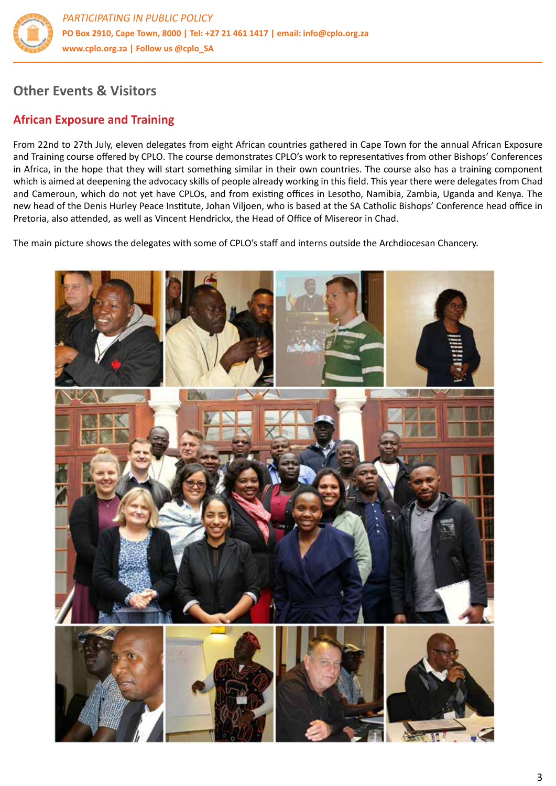

# **Other Events & Visitors**

# **African Exposure and Training**

From 22nd to 27th July, eleven delegates from eight African countries gathered in Cape Town for the annual African Exposure and Training course offered by CPLO. The course demonstrates CPLO's work to representatives from other Bishops' Conferences in Africa, in the hope that they will start something similar in their own countries. The course also has a training component which is aimed at deepening the advocacy skills of people already working in this field. This year there were delegates from Chad and Cameroun, which do not yet have CPLOs, and from existing offices in Lesotho, Namibia, Zambia, Uganda and Kenya. The new head of the Denis Hurley Peace Institute, Johan Viljoen, who is based at the SA Catholic Bishops' Conference head office in Pretoria, also attended, as well as Vincent Hendrickx, the Head of Office of Misereor in Chad.

The main picture shows the delegates with some of CPLO's staff and interns outside the Archdiocesan Chancery.